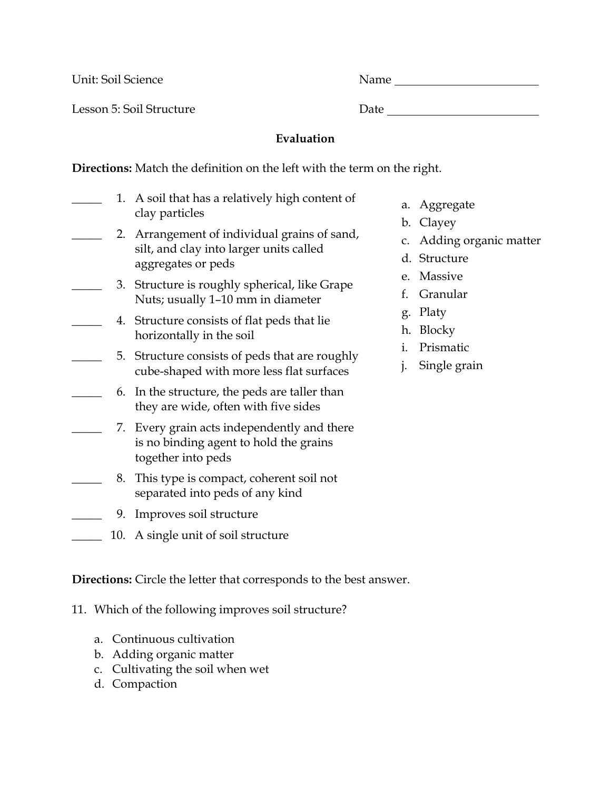Unit: Soil Science Name

Lesson 5: Soil Structure Date Date

## **Evaluation**

**Directions:** Match the definition on the left with the term on the right.

- 1. A soil that has a relatively high content of clay particles 2. Arrangement of individual grains of sand, silt, and clay into larger units called aggregates or peds
- 3. Structure is roughly spherical, like Grape Nuts; usually 1–10 mm in diameter
	- \_\_\_\_\_ 4. Structure consists of flat peds that lie horizontally in the soil
	- 5. Structure consists of peds that are roughly cube-shaped with more less flat surfaces
	- \_\_\_\_\_ 6. In the structure, the peds are taller than they are wide, often with five sides
- 7. Every grain acts independently and there is no binding agent to hold the grains together into peds
- \_\_\_\_\_ 8. This type is compact, coherent soil not separated into peds of any kind
	- \_\_\_\_\_ 9. Improves soil structure
- \_\_\_\_\_ 10. A single unit of soil structure

**Directions:** Circle the letter that corresponds to the best answer.

11. Which of the following improves soil structure?

- a. Continuous cultivation
- b. Adding organic matter
- c. Cultivating the soil when wet
- d. Compaction
- a. Aggregate
- b. Clayey
- c. Adding organic matter
- d. Structure
- e. Massive
- f. Granular
- g. Platy
- h. Blocky
- i. Prismatic
- j. Single grain